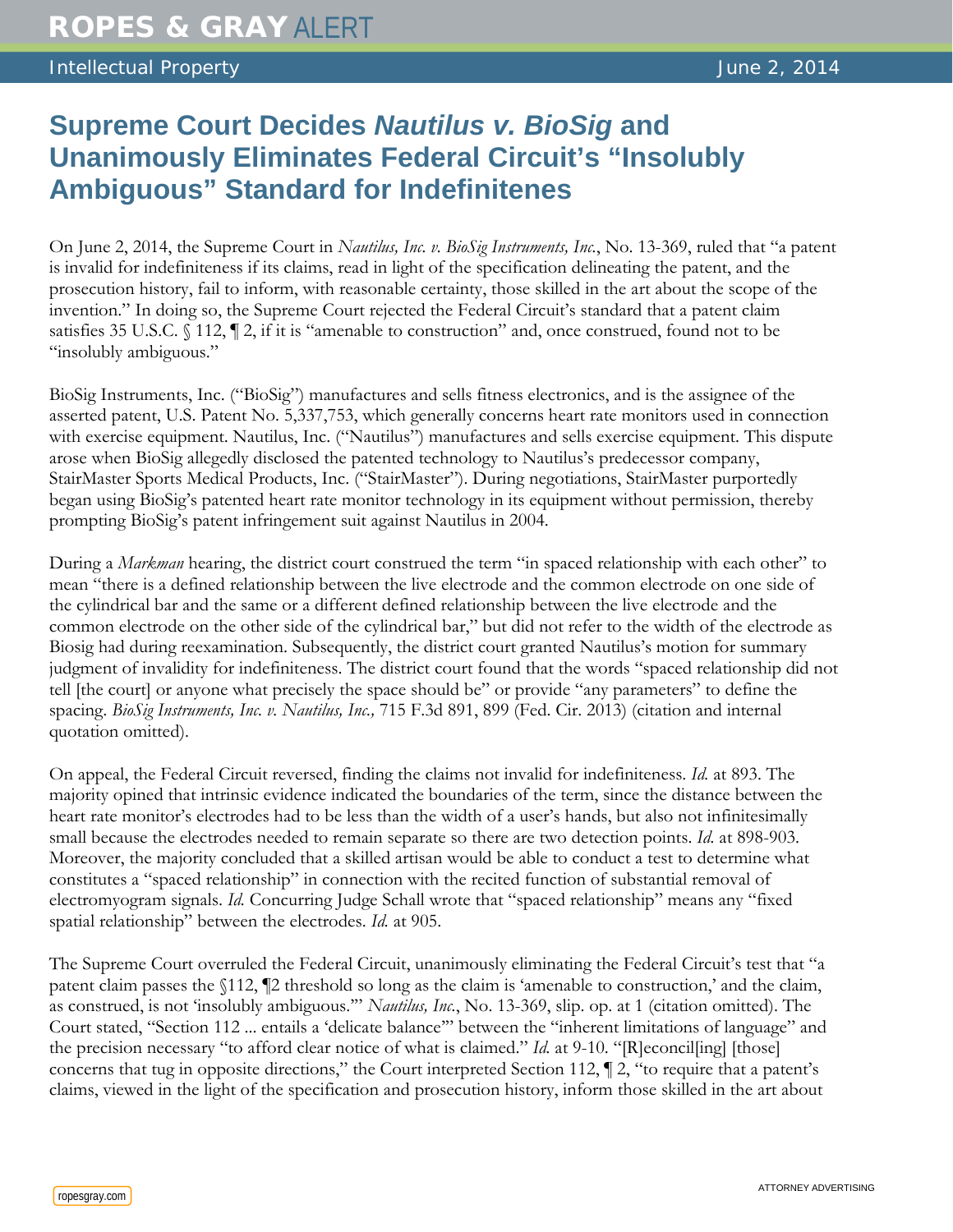Intellectual Property June 2, 2014

## **Supreme Court Decides** *Nautilus v. BioSig* **and Unanimously Eliminates Federal Circuit's "Insolubly Ambiguous" Standard for Indefinitenes**

On June 2, 2014, the Supreme Court in *Nautilus, Inc. v. BioSig Instruments, Inc.*, No. 13-369, ruled that "a patent is invalid for indefiniteness if its claims, read in light of the specification delineating the patent, and the prosecution history, fail to inform, with reasonable certainty, those skilled in the art about the scope of the invention." In doing so, the Supreme Court rejected the Federal Circuit's standard that a patent claim satisfies 35 U.S.C. § 112, ¶ 2, if it is "amenable to construction" and, once construed, found not to be "insolubly ambiguous."

BioSig Instruments, Inc. ("BioSig") manufactures and sells fitness electronics, and is the assignee of the asserted patent, U.S. Patent No. 5,337,753, which generally concerns heart rate monitors used in connection with exercise equipment. Nautilus, Inc. ("Nautilus") manufactures and sells exercise equipment. This dispute arose when BioSig allegedly disclosed the patented technology to Nautilus's predecessor company, StairMaster Sports Medical Products, Inc. ("StairMaster"). During negotiations, StairMaster purportedly began using BioSig's patented heart rate monitor technology in its equipment without permission, thereby prompting BioSig's patent infringement suit against Nautilus in 2004.

During a *Markman* hearing, the district court construed the term "in spaced relationship with each other" to mean "there is a defined relationship between the live electrode and the common electrode on one side of the cylindrical bar and the same or a different defined relationship between the live electrode and the common electrode on the other side of the cylindrical bar," but did not refer to the width of the electrode as Biosig had during reexamination. Subsequently, the district court granted Nautilus's motion for summary judgment of invalidity for indefiniteness. The district court found that the words "spaced relationship did not tell [the court] or anyone what precisely the space should be" or provide "any parameters" to define the spacing. *BioSig Instruments, Inc. v. Nautilus, Inc.,* 715 F.3d 891, 899 (Fed. Cir. 2013) (citation and internal quotation omitted).

On appeal, the Federal Circuit reversed, finding the claims not invalid for indefiniteness. *Id.* at 893. The majority opined that intrinsic evidence indicated the boundaries of the term, since the distance between the heart rate monitor's electrodes had to be less than the width of a user's hands, but also not infinitesimally small because the electrodes needed to remain separate so there are two detection points. *Id.* at 898-903. Moreover, the majority concluded that a skilled artisan would be able to conduct a test to determine what constitutes a "spaced relationship" in connection with the recited function of substantial removal of electromyogram signals. *Id.* Concurring Judge Schall wrote that "spaced relationship" means any "fixed spatial relationship" between the electrodes. *Id.* at 905.

The Supreme Court overruled the Federal Circuit, unanimously eliminating the Federal Circuit's test that "a patent claim passes the §112, ¶2 threshold so long as the claim is 'amenable to construction,' and the claim, as construed, is not 'insolubly ambiguous.'" *Nautilus, Inc.*, No. 13-369, slip. op. at 1 (citation omitted). The Court stated, "Section 112 ... entails a 'delicate balance'" between the "inherent limitations of language" and the precision necessary "to afford clear notice of what is claimed." *Id.* at 9-10. "[R]econcil[ing] [those] concerns that tug in opposite directions," the Court interpreted Section 112, ¶ 2, "to require that a patent's claims, viewed in the light of the specification and prosecution history, inform those skilled in the art about